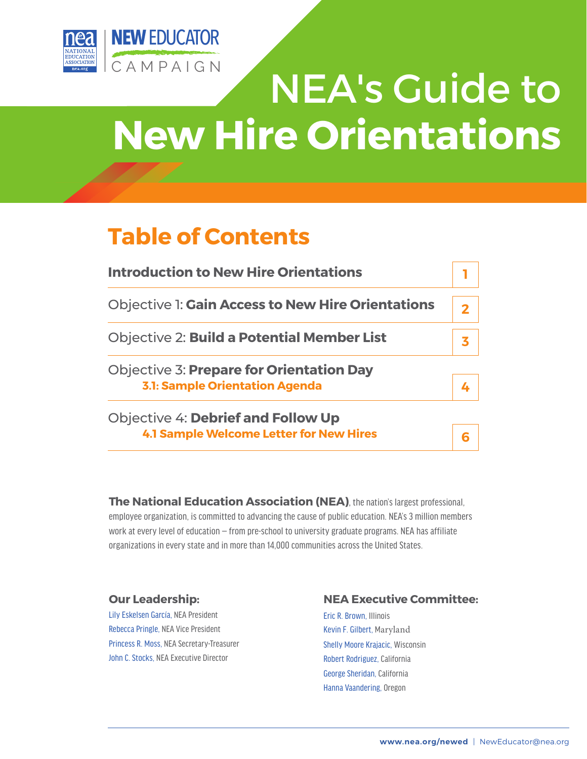

# NEA's Guide to **New Hire Orientations**

# **Table of Contents**

| <b>Introduction to New Hire Orientations</b>             |  |
|----------------------------------------------------------|--|
| <b>Objective 1: Gain Access to New Hire Orientations</b> |  |
| <b>Objective 2: Build a Potential Member List</b>        |  |
| <b>Objective 3: Prepare for Orientation Day</b>          |  |
| <b>3.1: Sample Orientation Agenda</b>                    |  |
| <b>Objective 4: Debrief and Follow Up</b>                |  |

**4.1 Sample Welcome Letter for New Hires**

**The National Education Association (NEA)**, the nation's largest professional, employee organization, is committed to advancing the cause of public education. NEA's 3 million members work at every level of education — from pre-school to university graduate programs. NEA has affiliate organizations in every state and in more than 14,000 communities across the United States.

#### **Our Leadership:**

Lily Eskelsen García, NEA President Rebecca Pringle, NEA Vice President Princess R. Moss, NEA Secretary-Treasurer John C. Stocks, NEA Executive Director

#### **NEA Executive Committee:**

Eric R. Brown, Illinois Kevin F. Gilbert, Maryland Shelly Moore Krajacic, Wisconsin Robert Rodriguez, California George Sheridan, California Hanna Vaandering, Oregon

**6**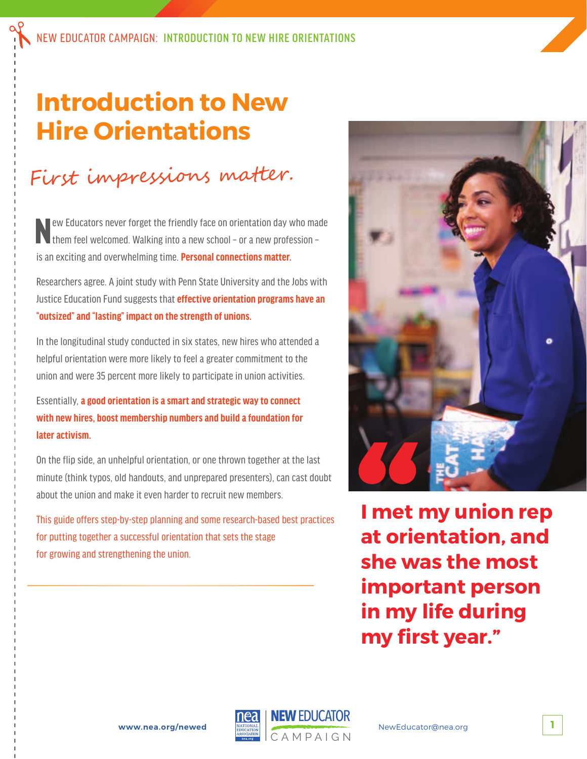# **Introduction to New Hire Orientations**

# First impressions matter.

New Educators never forget the friendly face on orientation day who made them feel welcomed. Walking into a new school – or a new profession – is an exciting and overwhelming time. **Personal connections matter.**

Researchers agree. A joint study with Penn State University and the Jobs with Justice Education Fund suggests that **effective orientation programs have an "outsized" and "lasting" impact on the strength of unions.**

In the longitudinal study conducted in six states, new hires who attended a helpful orientation were more likely to feel a greater commitment to the union and were 35 percent more likely to participate in union activities.

Essentially, **a good orientation is a smart and strategic way to connect with new hires, boost membership numbers and build a foundation for later activism.**

On the flip side, an unhelpful orientation, or one thrown together at the last minute (think typos, old handouts, and unprepared presenters), can cast doubt about the union and make it even harder to recruit new members.

This guide offers step-by-step planning and some research-based best practices for putting together a successful orientation that sets the stage for growing and strengthening the union.



**I met my union rep at orientation, and she was the most important person in my life during my first year."** 

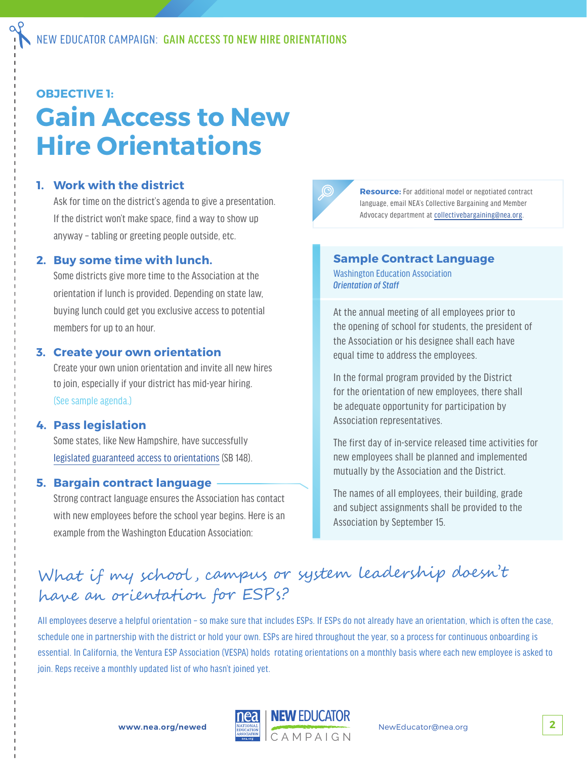#### **OBJECTIVE 1:**

# **Gain Access to New Hire Orientations**

#### **1. Work with the district**

Ask for time on the district's agenda to give a presentation. If the district won't make space, find a way to show up anyway – tabling or greeting people outside, etc.

#### **2. Buy some time with lunch.**

Some districts give more time to the Association at the orientation if lunch is provided. Depending on state law, buying lunch could get you exclusive access to potential members for up to an hour.

#### **3. Create your own orientation**

Create your own union orientation and invite all new hires to join, especially if your district has mid-year hiring. (See sample agenda.)

#### **4. Pass legislation**

Some states, like New Hampshire, have successfully legislated guaranteed access to orientations (SB 148).

#### **5. Bargain contract language**

Strong contract language ensures the Association has contact with new employees before the school year begins. Here is an example from the Washington Education Association:



**Resource:** For additional model or negotiated contract language, email NEA's Collective Bargaining and Member Advocacy department at collectivebargaining@nea.org.

#### **Sample Contract Language**

Washington Education Association *Orientation of Staff*

At the annual meeting of all employees prior to the opening of school for students, the president of the Association or his designee shall each have equal time to address the employees.

In the formal program provided by the District for the orientation of new employees, there shall be adequate opportunity for participation by Association representatives.

The first day of in-service released time activities for new employees shall be planned and implemented mutually by the Association and the District.

The names of all employees, their building, grade and subject assignments shall be provided to the Association by September 15.

### What if my school , campus or system leadership doesn't have an orientation for ESPs?

All employees deserve a helpful orientation – so make sure that includes ESPs. If ESPs do not already have an orientation, which is often the case, schedule one in partnership with the district or hold your own. ESPs are hired throughout the year, so a process for continuous onboarding is essential. In California, the Ventura ESP Association (VESPA) holds rotating orientations on a monthly basis where each new employee is asked to join. Reps receive a monthly updated list of who hasn't joined yet.

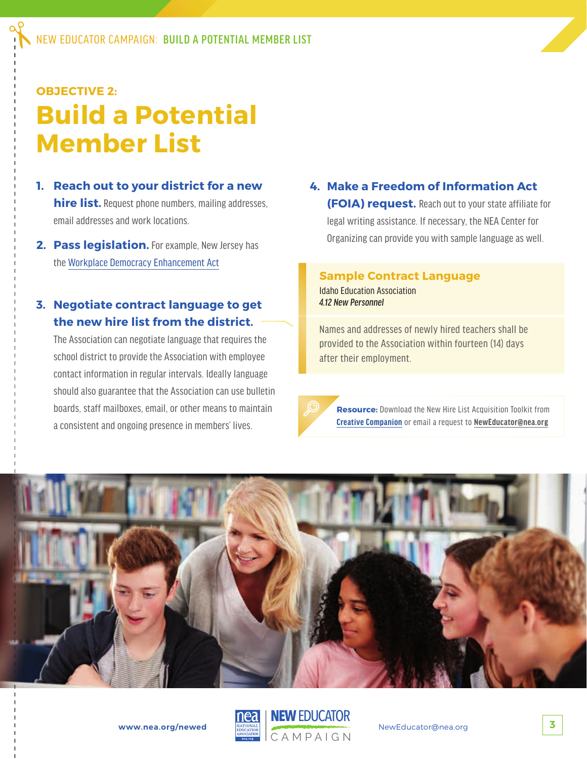## **OBJECTIVE 2: Build a Potential Member List**

- **1. Reach out to your district for a new hire list.** Request phone numbers, mailing addresses, email addresses and work locations.
- **2. Pass legislation.** For example, New Jersey has the Workplace Democracy Enhancement Act

#### **3. Negotiate contract language to get the new hire list from the district.**

The Association can negotiate language that requires the school district to provide the Association with employee contact information in regular intervals. Ideally language should also guarantee that the Association can use bulletin boards, staff mailboxes, email, or other means to maintain a consistent and ongoing presence in members' lives.

#### **4. Make a Freedom of Information Act (FOIA) request.** Reach out to your state affiliate for legal writing assistance. If necessary, the NEA Center for Organizing can provide you with sample language as well.

#### **Sample Contract Language**

Idaho Education Association *4.12 New Personnel*

Names and addresses of newly hired teachers shall be provided to the Association within fourteen (14) days after their employment.



**Resource:** Download the New Hire List Acquisition Toolkit from **Creative Companion** or email a request to **NewEducator@nea.org**



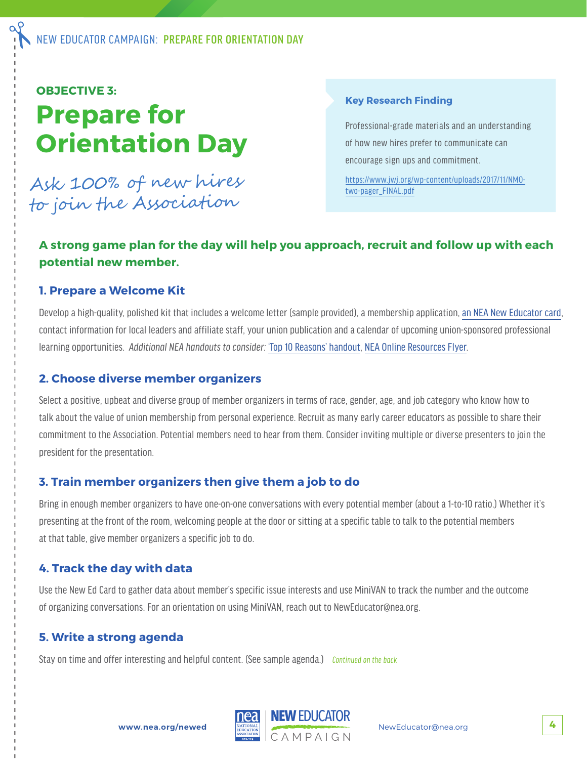#### **OBJECTIVE 3:**

# **Prepare for Orientation Day**

Ask 100% of new hires to join the Association

#### **Key Research Finding**

Professional-grade materials and an understanding of how new hires prefer to communicate can encourage sign ups and commitment.

https://www.jwj.org/wp-content/uploads/2017/11/NMOtwo-pager\_FINAL.pdf

#### **A strong game plan for the day will help you approach, recruit and follow up with each potential new member.**

#### **1. Prepare a Welcome Kit**

Develop a high-quality, polished kit that includes a welcome letter (sample provided), a membership application, an NEA New Educator card, contact information for local leaders and affiliate staff, your union publication and a calendar of upcoming union-sponsored professional learning opportunities. *Additional NEA handouts to consider:* 'Top 10 Reasons' handout, NEA Online Resources Flyer.

#### **2. Choose diverse member organizers**

Select a positive, upbeat and diverse group of member organizers in terms of race, gender, age, and job category who know how to talk about the value of union membership from personal experience. Recruit as many early career educators as possible to share their commitment to the Association. Potential members need to hear from them. Consider inviting multiple or diverse presenters to join the president for the presentation.

#### **3. Train member organizers then give them a job to do**

Bring in enough member organizers to have one-on-one conversations with every potential member (about a 1-to-10 ratio.) Whether it's presenting at the front of the room, welcoming people at the door or sitting at a specific table to talk to the potential members at that table, give member organizers a specific job to do.

#### **4. Track the day with data**

Use the New Ed Card to gather data about member's specific issue interests and use MiniVAN to track the number and the outcome of organizing conversations. For an orientation on using MiniVAN, reach out to NewEducator@nea.org.

#### **5. Write a strong agenda**

Stay on time and offer interesting and helpful content. (See sample agenda.) *Continued on the back*

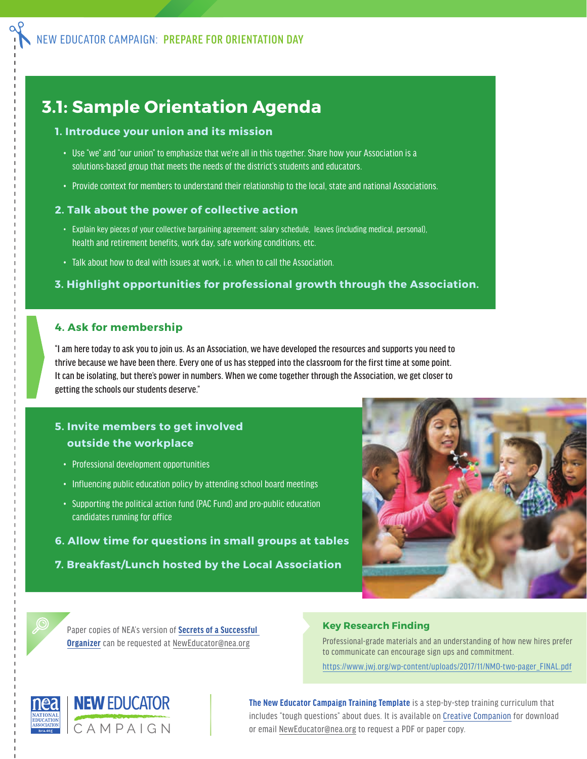### **3.1: Sample Orientation Agenda**

#### **1. Introduce your union and its mission**

- Use "we" and "our union" to emphasize that we're all in this together. Share how your Association is a solutions-based group that meets the needs of the district's students and educators.
- Provide context for members to understand their relationship to the local, state and national Associations.

#### **2. Talk about the power of collective action**

- Explain key pieces of your collective bargaining agreement: salary schedule, leaves (including medical, personal), health and retirement benefits, work day, safe working conditions, etc.
- Talk about how to deal with issues at work, i.e. when to call the Association.

#### **3. Highlight opportunities for professional growth through the Association.**

#### **4. Ask for membership**

"I am here today to ask you to join us. As an Association, we have developed the resources and supports you need to thrive because we have been there. Every one of us has stepped into the classroom for the first time at some point. It can be isolating, but there's power in numbers. When we come together through the Association, we get closer to getting the schools our students deserve."

#### **5. Invite members to get involved outside the workplace**

- Professional development opportunities
- Influencing public education policy by attending school board meetings
- Supporting the political action fund (PAC Fund) and pro-public education candidates running for office
- **6. Allow time for questions in small groups at tables**
- **7. Breakfast/Lunch hosted by the Local Association**



Paper copies of NEA's version of **Secrets of a Successful Organizer** can be requested at NewEducator@nea.org

#### **Key Research Finding**

Professional-grade materials and an understanding of how new hires prefer to communicate can encourage sign ups and commitment. https://www.jwj.org/wp-content/uploads/2017/11/NMO-two-pager\_FINAL.pdf



**The New Educator Campaign Training Template** is a step-by-step training curriculum that includes "tough questions" about dues. It is available on Creative Companion for download or email NewEducator@nea.org to request a PDF or paper copy.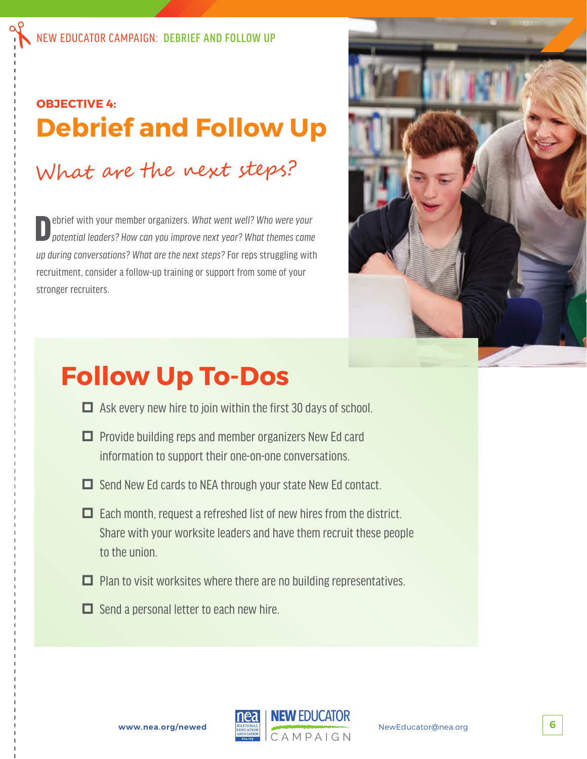### **OBJECTIVE 4: Debrief and Follow Up**

# What are the next steps?

Debrief with your member organizers. *What went well? Who were your potential leaders? How can you improve next year? What themes came up during conversations? What are the next steps?* For reps struggling with recruitment, consider a follow-up training or support from some of your stronger recruiters.



# **Follow Up To-Dos**

- $\Box$  Ask every new hire to join within the first 30 days of school.
- $\Box$  Provide building reps and member organizers New Ed card information to support their one-on-one conversations.
- $\Box$  Send New Ed cards to NEA through your state New Ed contact.
- $\Box$  Each month, request a refreshed list of new hires from the district. Share with your worksite leaders and have them recruit these people to the union.
- $\Box$  Plan to visit worksites where there are no building representatives.
- $\Box$  Send a personal letter to each new hire.